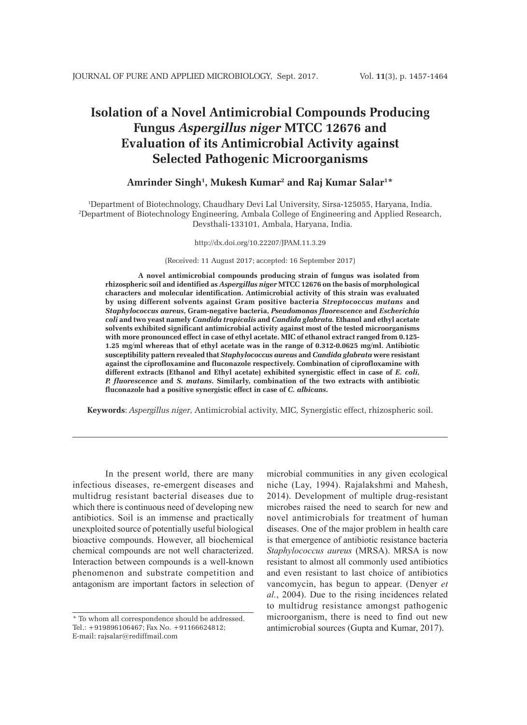# **Isolation of a Novel Antimicrobial Compounds Producing Fungus** *Aspergillus niger* **MTCC 12676 and Evaluation of its Antimicrobial Activity against Selected Pathogenic Microorganisms**

# **Amrinder Singh1 , Mukesh Kumar2 and Raj Kumar Salar1 \***

1 Department of Biotechnology, Chaudhary Devi Lal University, Sirsa-125055, Haryana, India. 2 Department of Biotechnology Engineering, Ambala College of Engineering and Applied Research, Devsthali-133101, Ambala, Haryana, India.

http://dx.doi.org/10.22207/JPAM.11.3.29

(Received: 11 August 2017; accepted: 16 September 2017)

**A novel antimicrobial compounds producing strain of fungus was isolated from rhizospheric soil and identified as** *Aspergillus niger* **MTCC 12676 on the basis of morphological characters and molecular identification. Antimicrobial activity of this strain was evaluated by using different solvents against Gram positive bacteria** *Streptococcus mutans* **and**  *Staphylococcus aureus***, Gram-negative bacteria,** *Pseudomonas fluorescence* **and** *Escherichia coli* **and two yeast namely** *Candida tropicalis* **and** *Candida glabrata.* **Ethanol and ethyl acetate solvents exhibited significant antimicrobial activity against most of the tested microorganisms with more pronounced effect in case of ethyl acetate. MIC of ethanol extract ranged from 0.125- 1.25 mg/ml whereas that of ethyl acetate was in the range of 0.312-0.0625 mg/ml. Antibiotic susceptibility pattern revealed that** *Staphylococcus aureus* **and** *Candida glabrata* **were resistant against the ciprofloxamine and fluconazole respectively. Combination of ciprofloxamine with different extracts (Ethanol and Ethyl acetate) exhibited synergistic effect in case of** *E. coli***,**  *P. fluorescence* **and** *S. mutans***. Similarly, combination of the two extracts with antibiotic fluconazole had a positive synergistic effect in case of** *C. albicans***.** 

**Keywords**: *Aspergillus niger*, Antimicrobial activity, MIC, Synergistic effect, rhizospheric soil.

In the present world, there are many infectious diseases, re-emergent diseases and multidrug resistant bacterial diseases due to which there is continuous need of developing new antibiotics. Soil is an immense and practically unexploited source of potentially useful biological bioactive compounds. However, all biochemical chemical compounds are not well characterized. Interaction between compounds is a well-known phenomenon and substrate competition and antagonism are important factors in selection of microbial communities in any given ecological niche (Lay, 1994). Rajalakshmi and Mahesh, 2014). Development of multiple drug-resistant microbes raised the need to search for new and novel antimicrobials for treatment of human diseases. One of the major problem in health care is that emergence of antibiotic resistance bacteria *Staphylococcus aureus* (MRSA). MRSA is now resistant to almost all commonly used antibiotics and even resistant to last choice of antibiotics vancomycin, has begun to appear. (Denyer *et al.*, 2004). Due to the rising incidences related to multidrug resistance amongst pathogenic microorganism, there is need to find out new antimicrobial sources (Gupta and Kumar, 2017).

<sup>\*</sup> To whom all correspondence should be addressed. Tel.: +919896106467; Fax No. +91166624812; E-mail: rajsalar@rediffmail.com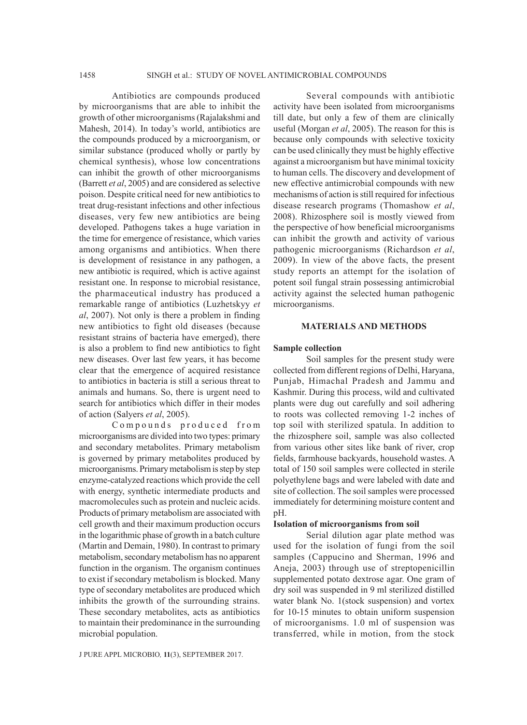Antibiotics are compounds produced by microorganisms that are able to inhibit the growth of other microorganisms (Rajalakshmi and Mahesh, 2014). In today's world, antibiotics are the compounds produced by a microorganism, or similar substance (produced wholly or partly by chemical synthesis), whose low concentrations can inhibit the growth of other microorganisms (Barrett *et al*, 2005) and are considered as selective poison. Despite critical need for new antibiotics to treat drug-resistant infections and other infectious diseases, very few new antibiotics are being developed. Pathogens takes a huge variation in the time for emergence of resistance, which varies among organisms and antibiotics. When there is development of resistance in any pathogen, a new antibiotic is required, which is active against resistant one. In response to microbial resistance, the pharmaceutical industry has produced a remarkable range of antibiotics (Luzhetskyy *et al*, 2007). Not only is there a problem in finding new antibiotics to fight old diseases (because resistant strains of bacteria have emerged), there is also a problem to find new antibiotics to fight new diseases. Over last few years, it has become clear that the emergence of acquired resistance to antibiotics in bacteria is still a serious threat to animals and humans. So, there is urgent need to search for antibiotics which differ in their modes of action (Salyers *et al*, 2005).

Compounds produced from microorganisms are divided into two types: primary and secondary metabolites. Primary metabolism is governed by primary metabolites produced by microorganisms. Primary metabolism is step by step enzyme-catalyzed reactions which provide the cell with energy, synthetic intermediate products and macromolecules such as protein and nucleic acids. Products of primary metabolism are associated with cell growth and their maximum production occurs in the logarithmic phase of growth in a batch culture (Martin and Demain, 1980). In contrast to primary metabolism, secondary metabolism has no apparent function in the organism. The organism continues to exist if secondary metabolism is blocked. Many type of secondary metabolites are produced which inhibits the growth of the surrounding strains. These secondary metabolites, acts as antibiotics to maintain their predominance in the surrounding microbial population.

Several compounds with antibiotic activity have been isolated from microorganisms till date, but only a few of them are clinically useful (Morgan *et al*, 2005). The reason for this is because only compounds with selective toxicity can be used clinically they must be highly effective against a microorganism but have minimal toxicity to human cells. The discovery and development of new effective antimicrobial compounds with new mechanisms of action is still required for infectious disease research programs (Thomashow *et al*, 2008). Rhizosphere soil is mostly viewed from the perspective of how beneficial microorganisms can inhibit the growth and activity of various pathogenic microorganisms (Richardson *et al*, 2009). In view of the above facts, the present study reports an attempt for the isolation of potent soil fungal strain possessing antimicrobial activity against the selected human pathogenic microorganisms.

#### **MATERIALS AND METHODS**

#### **Sample collection**

Soil samples for the present study were collected from different regions of Delhi, Haryana, Punjab, Himachal Pradesh and Jammu and Kashmir. During this process, wild and cultivated plants were dug out carefully and soil adhering to roots was collected removing 1-2 inches of top soil with sterilized spatula. In addition to the rhizosphere soil, sample was also collected from various other sites like bank of river, crop fields, farmhouse backyards, household wastes. A total of 150 soil samples were collected in sterile polyethylene bags and were labeled with date and site of collection. The soil samples were processed immediately for determining moisture content and pH.

#### **Isolation of microorganisms from soil**

Serial dilution agar plate method was used for the isolation of fungi from the soil samples (Cappucino and Sherman, 1996 and Aneja, 2003) through use of streptopenicillin supplemented potato dextrose agar. One gram of dry soil was suspended in 9 ml sterilized distilled water blank No. 1(stock suspension) and vortex for 10-15 minutes to obtain uniform suspension of microorganisms. 1.0 ml of suspension was transferred, while in motion, from the stock

J PURE APPL MICROBIO*,* **11**(3), SEPTEMBER 2017.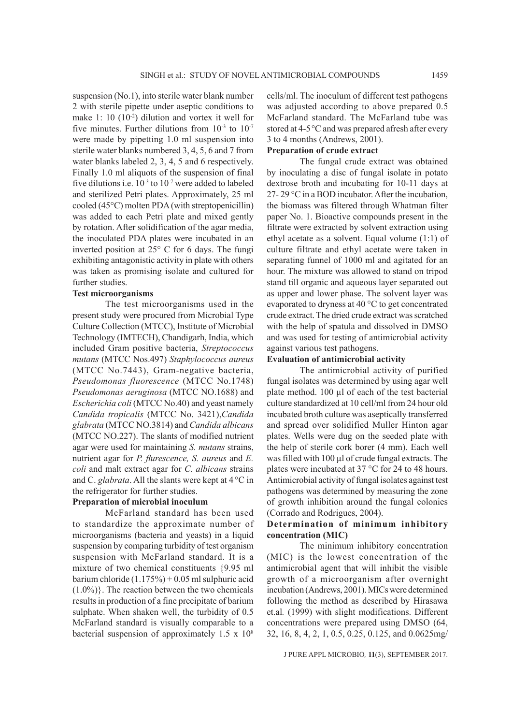suspension (No.1), into sterile water blank number 2 with sterile pipette under aseptic conditions to make 1: 10 (10-2) dilution and vortex it well for five minutes. Further dilutions from  $10^{-3}$  to  $10^{-7}$ were made by pipetting 1.0 ml suspension into sterile water blanks numbered 3, 4, 5, 6 and 7 from water blanks labeled 2, 3, 4, 5 and 6 respectively. Finally 1.0 ml aliquots of the suspension of final five dilutions i.e.  $10^{-3}$  to  $10^{-7}$  were added to labeled and sterilized Petri plates. Approximately, 25 ml cooled (45°C) molten PDA (with streptopenicillin) was added to each Petri plate and mixed gently by rotation. After solidification of the agar media, the inoculated PDA plates were incubated in an inverted position at 25° C for 6 days. The fungi exhibiting antagonistic activity in plate with others was taken as promising isolate and cultured for further studies.

#### **Test microorganisms**

The test microorganisms used in the present study were procured from Microbial Type Culture Collection (MTCC), Institute of Microbial Technology (IMTECH), Chandigarh, India, which included Gram positive bacteria, *Streptococcus mutans* (MTCC Nos.497) *Staphylococcus aureus* (MTCC No.7443), Gram-negative bacteria, *Pseudomonas fluorescence* (MTCC No.1748) *Pseudomonas aeruginosa* (MTCC NO.1688) and *Escherichia coli* (MTCC No.40) and yeast namely *Candida tropicalis* (MTCC No. 3421),*Candida glabrata* (MTCC NO.3814) and *Candida albicans*  (MTCC NO.227). The slants of modified nutrient agar were used for maintaining *S. mutans* strains, nutrient agar for *P. flurescence, S. aureus* and *E. coli* and malt extract agar for *C. albicans* strains and C. *glabrata*. All the slants were kept at 4 °C in the refrigerator for further studies.

#### **Preparation of microbial inoculum**

McFarland standard has been used to standardize the approximate number of microorganisms (bacteria and yeasts) in a liquid suspension by comparing turbidity of test organism suspension with McFarland standard. It is a mixture of two chemical constituents {9.95 ml barium chloride (1.175%) + 0.05 ml sulphuric acid  $(1.0\%)$ . The reaction between the two chemicals results in production of a fine precipitate of barium sulphate. When shaken well, the turbidity of 0.5 McFarland standard is visually comparable to a bacterial suspension of approximately 1.5 x 108 cells/ml. The inoculum of different test pathogens was adjusted according to above prepared 0.5 McFarland standard. The McFarland tube was stored at 4-5°C and was prepared afresh after every 3 to 4 months (Andrews, 2001).

# **Preparation of crude extract**

The fungal crude extract was obtained by inoculating a disc of fungal isolate in potato dextrose broth and incubating for 10-11 days at 27- 29 °C in a BOD incubator. After the incubation, the biomass was filtered through Whatman filter paper No. 1. Bioactive compounds present in the filtrate were extracted by solvent extraction using ethyl acetate as a solvent. Equal volume (1:1) of culture filtrate and ethyl acetate were taken in separating funnel of 1000 ml and agitated for an hour. The mixture was allowed to stand on tripod stand till organic and aqueous layer separated out as upper and lower phase. The solvent layer was evaporated to dryness at 40 °C to get concentrated crude extract. The dried crude extract was scratched with the help of spatula and dissolved in DMSO and was used for testing of antimicrobial activity against various test pathogens.

# **Evaluation of antimicrobial activity**

The antimicrobial activity of purified fungal isolates was determined by using agar well plate method. 100 µl of each of the test bacterial culture standardized at 10 cell/ml from 24 hour old incubated broth culture was aseptically transferred and spread over solidified Muller Hinton agar plates. Wells were dug on the seeded plate with the help of sterile cork borer (4 mm). Each well was filled with 100 µl of crude fungal extracts. The plates were incubated at 37 °C for 24 to 48 hours. Antimicrobial activity of fungal isolates against test pathogens was determined by measuring the zone of growth inhibition around the fungal colonies (Corrado and Rodrigues, 2004).

# **Determination of minimum inhibitory concentration (MIC)**

The minimum inhibitory concentration (MIC) is the lowest concentration of the antimicrobial agent that will inhibit the visible growth of a microorganism after overnight incubation (Andrews, 2001). MICs were determined following the method as described by Hirasawa et.al*.* (1999) with slight modifications. Different concentrations were prepared using DMSO (64, 32, 16, 8, 4, 2, 1, 0.5, 0.25, 0.125, and 0.0625mg/

J PURE APPL MICROBIO*,* **11**(3), SEPTEMBER 2017.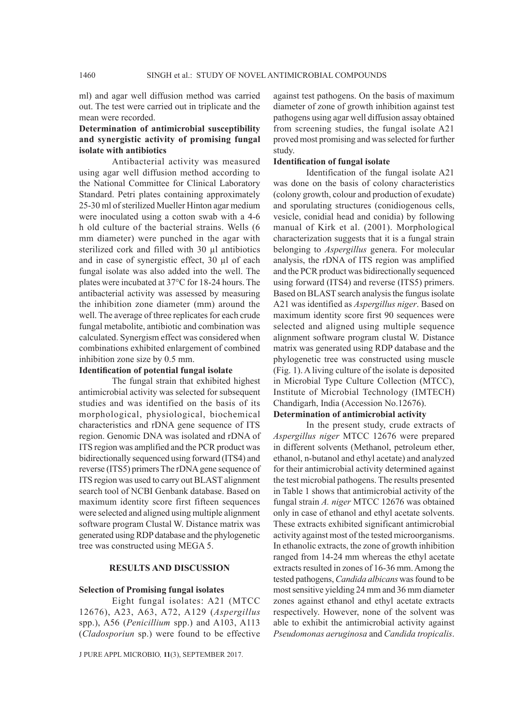ml) and agar well diffusion method was carried out. The test were carried out in triplicate and the mean were recorded.

# **Determination of antimicrobial susceptibility and synergistic activity of promising fungal isolate with antibiotics**

Antibacterial activity was measured using agar well diffusion method according to the National Committee for Clinical Laboratory Standard. Petri plates containing approximately 25-30 ml of sterilized Mueller Hinton agar medium were inoculated using a cotton swab with a 4-6 h old culture of the bacterial strains. Wells (6 mm diameter) were punched in the agar with sterilized cork and filled with 30 µl antibiotics and in case of synergistic effect, 30 µl of each fungal isolate was also added into the well. The plates were incubated at 37°C for 18-24 hours. The antibacterial activity was assessed by measuring the inhibition zone diameter (mm) around the well. The average of three replicates for each crude fungal metabolite, antibiotic and combination was calculated. Synergism effect was considered when combinations exhibited enlargement of combined inhibition zone size by 0.5 mm.

# **Identification of potential fungal isolate**

The fungal strain that exhibited highest antimicrobial activity was selected for subsequent studies and was identified on the basis of its morphological, physiological, biochemical characteristics and rDNA gene sequence of ITS region. Genomic DNA was isolated and rDNA of ITS region was amplified and the PCR product was bidirectionally sequenced using forward (ITS4) and reverse (ITS5) primers The rDNA gene sequence of ITS region was used to carry out BLAST alignment search tool of NCBI Genbank database. Based on maximum identity score first fifteen sequences were selected and aligned using multiple alignment software program Clustal W. Distance matrix was generated using RDP database and the phylogenetic tree was constructed using MEGA 5.

# **RESULTS AND DISCUSSION**

#### **Selection of Promising fungal isolates**

Eight fungal isolates: A21 (MTCC 12676), A23, A63, A72, A129 (*Aspergillus* spp.), A56 (*Penicillium* spp.) and A103, A113 (*Cladosporiun* sp.) were found to be effective

J PURE APPL MICROBIO*,* **11**(3), SEPTEMBER 2017.

against test pathogens. On the basis of maximum diameter of zone of growth inhibition against test pathogens using agar well diffusion assay obtained from screening studies, the fungal isolate A21 proved most promising and was selected for further study.

#### **Identification of fungal isolate**

Identification of the fungal isolate A21 was done on the basis of colony characteristics (colony growth, colour and production of exudate) and sporulating structures (conidiogenous cells, vesicle, conidial head and conidia) by following manual of Kirk et al. (2001). Morphological characterization suggests that it is a fungal strain belonging to *Aspergillus* genera. For molecular analysis, the rDNA of ITS region was amplified and the PCR product was bidirectionally sequenced using forward (ITS4) and reverse (ITS5) primers. Based on BLAST search analysis the fungus isolate A21 was identified as *Aspergillus niger*. Based on maximum identity score first 90 sequences were selected and aligned using multiple sequence alignment software program clustal W. Distance matrix was generated using RDP database and the phylogenetic tree was constructed using muscle (Fig. 1). A living culture of the isolate is deposited in Microbial Type Culture Collection (MTCC), Institute of Microbial Technology (IMTECH) Chandigarh, India (Accession No.12676).

# **Determination of antimicrobial activity**

In the present study, crude extracts of *Aspergillus niger* MTCC 12676 were prepared in different solvents (Methanol, petroleum ether, ethanol, n-butanol and ethyl acetate) and analyzed for their antimicrobial activity determined against the test microbial pathogens. The results presented in Table 1 shows that antimicrobial activity of the fungal strain *A. niger* MTCC 12676 was obtained only in case of ethanol and ethyl acetate solvents. These extracts exhibited significant antimicrobial activity against most of the tested microorganisms. In ethanolic extracts, the zone of growth inhibition ranged from 14-24 mm whereas the ethyl acetate extracts resulted in zones of 16-36 mm. Among the tested pathogens, *Candida albicans* was found to be most sensitive yielding 24 mm and 36 mm diameter zones against ethanol and ethyl acetate extracts respectively. However, none of the solvent was able to exhibit the antimicrobial activity against *Pseudomonas aeruginosa* and *Candida tropicalis*.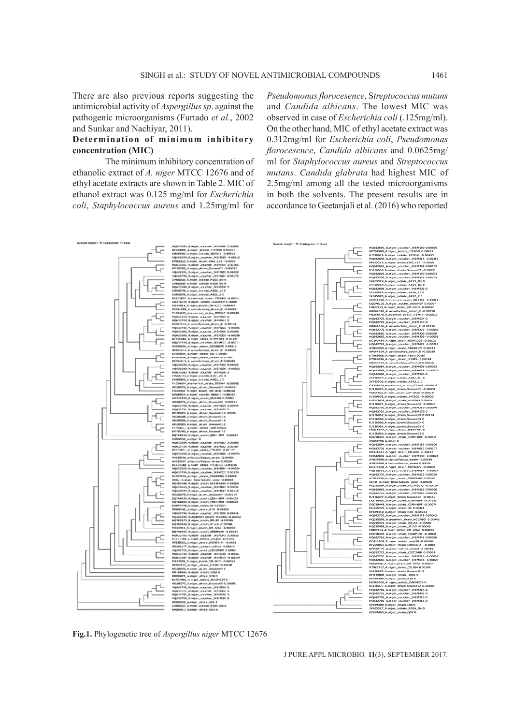There are also previous reports suggesting the antimicrobial activity of *Aspergillus sp*. against the pathogenic microorganisms (Furtado *et al*., 2002 and Sunkar and Nachiyar, 2011).

# **Determination of minimum inhibitory concentration (MIC)**

The minimum inhibitory concentration of ethanolic extract of *A. niger* MTCC 12676 and of ethyl acetate extracts are shown in Table 2. MIC of ethanol extract was 0.125 mg/ml for *Escherichia coli*, *Staphylococcus aureus* and 1.25mg/ml for

*Pseudomonas florocesence*, S*treptococcus mutans* and *Candida albicans*. The lowest MIC was observed in case of *Escherichia coli* (.125mg/ml). On the other hand, MIC of ethyl acetate extract was 0.312mg/ml for *Escherichia coli*, *Pseudomonas florocesence*, *Candida albicans* and 0.0625mg/ ml for *Staphylococcus aureus* and *Streptococcus mutans*. *Candida glabrata* had highest MIC of 2.5mg/ml among all the tested microorganisms in both the solvents. The present results are in accordance to Geetanjali et al. (2016) who reported



**Fig.1.** Phylogenetic tree of *Aspergillus niger* MTCC 12676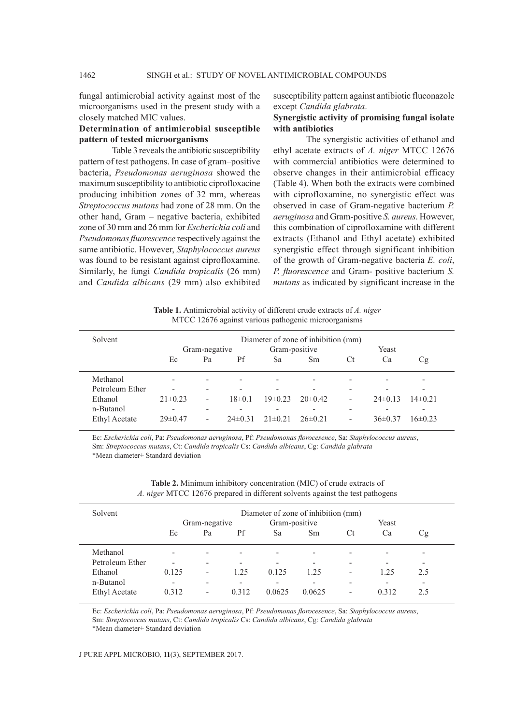fungal antimicrobial activity against most of the microorganisms used in the present study with a closely matched MIC values.

# **Determination of antimicrobial susceptible pattern of tested microorganisms**

Table 3 reveals the antibiotic susceptibility pattern of test pathogens. In case of gram–positive bacteria, *Pseudomonas aeruginosa* showed the maximum susceptibility to antibiotic ciprofloxacine producing inhibition zones of 32 mm, whereas *Streptococcus mutans* had zone of 28 mm. On the other hand, Gram – negative bacteria, exhibited zone of 30 mm and 26 mm for *Escherichia coli* and *Pseudomonas fluorescence* respectively against the same antibiotic. However, *Staphylococcus aureus* was found to be resistant against ciprofloxamine. Similarly, he fungi *Candida tropicalis* (26 mm) and *Candida albicans* (29 mm) also exhibited susceptibility pattern against antibiotic fluconazole except *Candida glabrata*.

# **Synergistic activity of promising fungal isolate with antibiotics**

The synergistic activities of ethanol and ethyl acetate extracts of *A. niger* MTCC 12676 with commercial antibiotics were determined to observe changes in their antimicrobial efficacy (Table 4). When both the extracts were combined with ciprofloxamine, no synergistic effect was observed in case of Gram-negative bacterium *P. aeruginosa* and Gram-positive *S. aureus*. However, this combination of ciprofloxamine with different extracts (Ethanol and Ethyl acetate) exhibited synergistic effect through significant inhibition of the growth of Gram-negative bacteria *E. coli*, *P. fluorescence* and Gram- positive bacterium *S. mutans* as indicated by significant increase in the

**Table 1.** Antimicrobial activity of different crude extracts of *A. niger* MTCC 12676 against various pathogenic microorganisms

| Solvent              | Diameter of zone of inhibition (mm) |                          |                          |               |                          |                          |                          |              |
|----------------------|-------------------------------------|--------------------------|--------------------------|---------------|--------------------------|--------------------------|--------------------------|--------------|
|                      |                                     | Gram-negative            |                          | Gram-positive |                          | Yeast                    |                          |              |
|                      | Ec                                  | Pa                       | Pf                       | Sa            | Sm                       | Сt                       | Ca                       | Сg           |
| Methanol             |                                     | $\overline{\phantom{0}}$ | -                        |               |                          |                          | $\overline{\phantom{0}}$ |              |
| Petroleum Ether      | $\overline{\phantom{0}}$            | $\overline{\phantom{0}}$ | $\overline{\phantom{0}}$ | ٠             | $\overline{\phantom{0}}$ | $\overline{\phantom{0}}$ | $\overline{\phantom{0}}$ | -            |
| Ethanol              | $21\pm0.23$                         | $\overline{\phantom{0}}$ | $18\pm0.1$               | $19\pm0.23$   | $20\pm 0.42$             | $\overline{\phantom{0}}$ | $24\pm 0.13$             | $14\pm 0.21$ |
| n-Butanol            | $\overline{\phantom{0}}$            | ٠                        | $\overline{\phantom{0}}$ | ٠             |                          | $\overline{\phantom{a}}$ | $\overline{\phantom{0}}$ |              |
| <b>Ethyl Acetate</b> | $29 \pm 0.47$                       | $\overline{\phantom{a}}$ | $24\pm 0.31$             | $21 \pm 0.21$ | $26\pm0.21$              | $\overline{\phantom{a}}$ | $36\pm0.37$              | $6\pm 0.23$  |

Ec: *Escherichia coli*, Pa: *Pseudomonas aeruginosa*, Pf: *Pseudomonas florocesence*, Sa: *Staphylococcus aureus*, Sm: *Streptococcus mutans*, Ct: *Candida tropicalis* Cs: *Candida albicans*, Cg: *Candida glabrata* \*Mean diameter± Standard deviation

| Solvent              | Diameter of zone of inhibition (mm) |                          |                          |                          |                          |    |                          |                          |  |
|----------------------|-------------------------------------|--------------------------|--------------------------|--------------------------|--------------------------|----|--------------------------|--------------------------|--|
|                      | Gram-negative                       |                          |                          | Gram-positive            |                          |    | Yeast                    |                          |  |
|                      | Ec                                  | Pa                       | Pf                       | Sa                       | Sm                       | Ċt | Ca                       | Cg                       |  |
| Methanol             | $\overline{\phantom{a}}$            | $\overline{\phantom{0}}$ |                          | $\overline{\phantom{0}}$ | ٠                        | -  | $\overline{\phantom{0}}$ | $\,$                     |  |
| Petroleum Ether      | $\overline{\phantom{a}}$            | $\overline{\phantom{0}}$ |                          | $\overline{\phantom{0}}$ | $\overline{\phantom{0}}$ |    | $\overline{\phantom{0}}$ | $\overline{\phantom{0}}$ |  |
| Ethanol              | 0.125                               | $\overline{\phantom{0}}$ | 1.25                     | 0.125                    | 1.25                     | -  | 1.25                     | 2.5                      |  |
| n-Butanol            | $\overline{\phantom{a}}$            | $\overline{\phantom{0}}$ | $\overline{\phantom{0}}$ | -                        | $\overline{\phantom{a}}$ |    | $\overline{\phantom{0}}$ | $\overline{\phantom{0}}$ |  |
| <b>Ethyl Acetate</b> | 0.312                               | $\overline{\phantom{0}}$ | 0.312                    | 0.0625                   | 0.0625                   | -  | 0.312                    | 2.5                      |  |
|                      |                                     |                          |                          |                          |                          |    |                          |                          |  |

**Table 2.** Minimum inhibitory concentration (MIC) of crude extracts of *A. niger* MTCC 12676 prepared in different solvents against the test pathogens

Ec: *Escherichia coli*, Pa: *Pseudomonas aeruginosa*, Pf: *Pseudomonas florocesence*, Sa: *Staphylococcus aureus*, Sm: *Streptococcus mutans*, Ct: *Candida tropicalis* Cs: *Candida albicans*, Cg: *Candida glabrata*

\*Mean diameter± Standard deviation

#### J PURE APPL MICROBIO*,* **11**(3), SEPTEMBER 2017.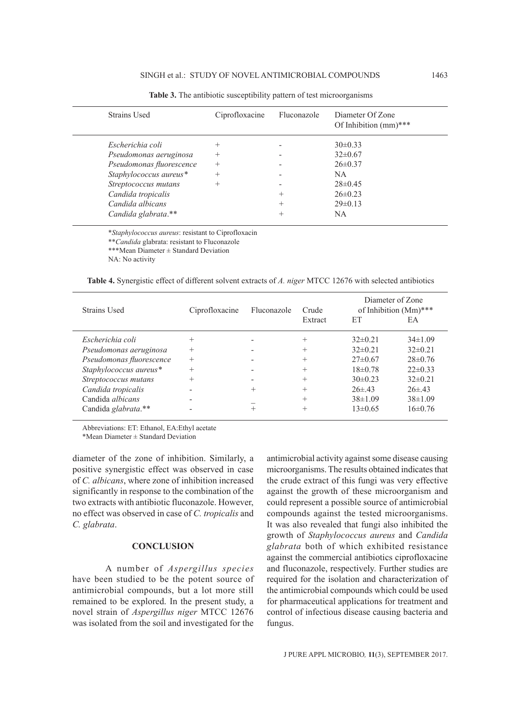| <b>Strains Used</b>      | Ciprofloxacine     | Fluconazole | Diameter Of Zone<br>Of Inhibition $(mm)^***$ |
|--------------------------|--------------------|-------------|----------------------------------------------|
| Escherichia coli         | $\hspace{0.1mm} +$ |             | $30\pm0.33$                                  |
| Pseudomonas aeruginosa   | $^{+}$             |             | $32\pm0.67$                                  |
| Pseudomonas fluorescence | $^{+}$             |             | $26 \pm 0.37$                                |
| Staphylococcus aureus*   | $^{+}$             |             | NA.                                          |
| Streptococcus mutans     | $^{+}$             |             | $28 \pm 0.45$                                |
| Candida tropicalis       |                    |             | $26 \pm 0.23$                                |
| Candida albicans         |                    | $^{+}$      | $29 \pm 0.13$                                |
| Candida glabrata.**      |                    |             | NA.                                          |

**Table 3.** The antibiotic susceptibility pattern of test microorganisms

\**Staphylococcus aureus*: resistant to Ciprofloxacin

\*\**Candida* glabrata: resistant to Fluconazole

\*\*\*Mean Diameter ± Standard Deviation

NA: No activity

**Table 4.** Synergistic effect of different solvent extracts of *A. niger* MTCC 12676 with selected antibiotics

| Strains Used             | Ciprofloxacine | Fluconazole                      | Crude   | Diameter of Zone<br>of Inhibition (Mm)*** |              |  |
|--------------------------|----------------|----------------------------------|---------|-------------------------------------------|--------------|--|
|                          |                |                                  | Extract | EТ                                        | EA           |  |
| Escherichia coli         | $^+$           |                                  | $^{+}$  | $32\pm0.21$                               | $34\pm1.09$  |  |
| Pseudomonas aeruginosa   | $^{+}$         |                                  | $^+$    | $32\pm0.21$                               | $32\pm0.21$  |  |
| Pseudomonas fluorescence | $^{+}$         |                                  | $^+$    | $27\pm 0.67$                              | $28\pm 0.76$ |  |
| Staphylococcus aureus*   |                |                                  | $^+$    | $18\pm 0.78$                              | $22\pm 0.33$ |  |
| Streptococcus mutans     |                |                                  | $^+$    | $30\pm 0.23$                              | $32\pm0.21$  |  |
| Candida tropicalis       |                | $\hskip 0.025cm +\hskip 0.025cm$ | $^+$    | $26 \pm 43$                               | $26 \pm 43$  |  |
| Candida <i>albicans</i>  |                |                                  | $^{+}$  | $38\pm1.09$                               | $38\pm1.09$  |  |
| Candida glabrata.**      |                |                                  | $^{+}$  | $13\pm 0.65$                              | $16\pm 0.76$ |  |

Abbreviations: ET: Ethanol, EA:Ethyl acetate

\*Mean Diameter ± Standard Deviation

diameter of the zone of inhibition. Similarly, a positive synergistic effect was observed in case of *C. albicans*, where zone of inhibition increased significantly in response to the combination of the two extracts with antibiotic fluconazole. However, no effect was observed in case of *C. tropicalis* and *C. glabrata*.

#### **CONCLUSION**

A number of *Aspergillus species* have been studied to be the potent source of antimicrobial compounds, but a lot more still remained to be explored. In the present study, a novel strain of *Aspergillus niger* MTCC 12676 was isolated from the soil and investigated for the

antimicrobial activity against some disease causing microorganisms. The results obtained indicates that the crude extract of this fungi was very effective against the growth of these microorganism and could represent a possible source of antimicrobial compounds against the tested microorganisms. It was also revealed that fungi also inhibited the growth of *Staphylococcus aureus* and *Candida glabrata* both of which exhibited resistance against the commercial antibiotics ciprofloxacine and fluconazole, respectively. Further studies are required for the isolation and characterization of the antimicrobial compounds which could be used for pharmaceutical applications for treatment and control of infectious disease causing bacteria and fungus.